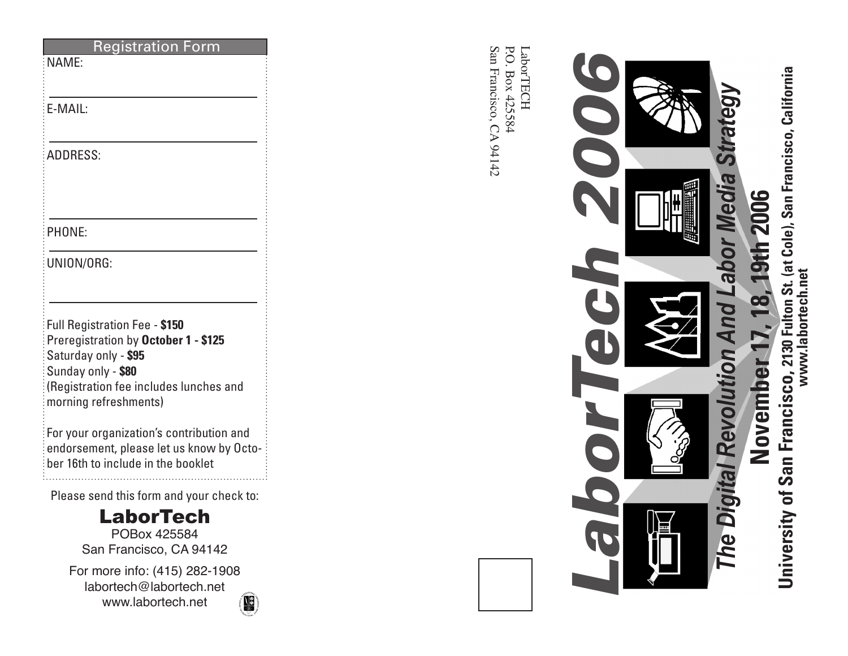|                 | stratio                                                      |
|-----------------|--------------------------------------------------------------|
| NAME:           |                                                              |
|                 |                                                              |
| E-MAIL:         |                                                              |
|                 |                                                              |
| <b>ADDRESS:</b> |                                                              |
|                 |                                                              |
|                 |                                                              |
| PHONE:          |                                                              |
|                 |                                                              |
| UNION/ORG:      |                                                              |
|                 |                                                              |
|                 | Full Registration Fee - \$150                                |
|                 | Preregistration by October 1 - \$125                         |
|                 | Saturday only - \$95                                         |
|                 | Sunday only - \$80<br>(Registration fee includes lunches and |
|                 | morning refreshments)                                        |
|                 | For your organization's contribution and                     |
|                 | endorsement, please let us know by Octo-                     |
|                 | ber 16th to include in the booklet                           |
|                 | Please send this form and your check to:                     |
|                 | LaborTech                                                    |
|                 | POBox 425584                                                 |
|                 | San Francisco, CA 94142                                      |

For more info: (415) 282-1908 labortech@labortech.net www.labortech.net



San Francisco, CA 94142 P.O. Box 425584 LaborTECH P.O. Box 425584 LaborTECH San Francisco, CA 94142